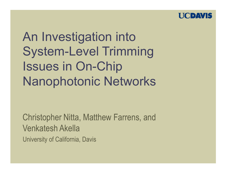

An Investigation into **System-Level Trimming Issues in On-Chip Nanophotonic Networks** 

**Christopher Nitta, Matthew Farrens, and Venkatesh Akella University of California, Davis**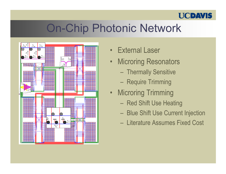## **On-Chip Photonic Network**



- External Laser
- **Microring Resonators**  $\bullet$  .
	- Thermally Sensitive
	- Require Trimming
- Microring Trimming
	- Red Shift Use Heating
	- Blue Shift Use Current Injection
	- Literature Assumes Fixed Cost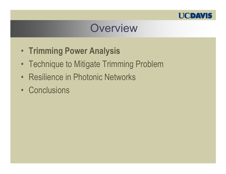

### Overview

- Trimming Power Analysis
- Technique to Mitigate Trimming Problem
- Resilience in Photonic Networks
- Conclusions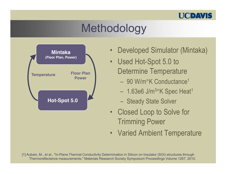

# Methodology



- Developed Simulator (Mintaka)  $\bullet$
- Used Hot-Spot 5.0 to **Determine Temperature** 
	- 90 W/m°K Conductance<sup>1</sup>
	- $-1.63e6$  J/m<sup>3</sup>°K Spec Heat<sup>1</sup>
	- Steady State Solver
- Closed Loop to Solve for **Trimming Power**
- Varied Ambient Temperature

[1] Aubain, M., et al., "In-Plane Thermal Conductivity Determination in Silicon on Insulator (SOI) structures through Thermoreflectance measurements," Materials Research Society Symposium Proceedings Volume 1267, 2010.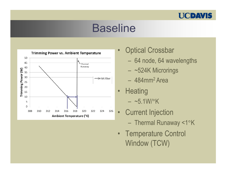

### Baseline



 $\bullet$ Optical Crossbar

- 64 node, 64 wavelengths
- ~524K Microrings
- 484mm<sup>2</sup> Area
- $\bullet$ Heating  $-$  ~5.1W/°K
- $\bullet$ **Current Injection** 
	- Thermal Runaway <1°K
- Temperature Control Window (TCW)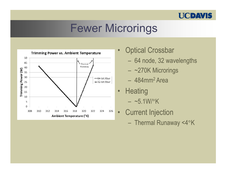

### **Fewer Microrings**



- **Optical Crossbar**  $\bullet$ 
	- 64 node, 32 wavelengths
	- $-$  ~270K Microrings
	- $-484$ mm<sup>2</sup> Area
- Heating  $\bullet$  $-$  ~5.1W/ $\rm ^{\circ}K$
- **Current Injection**  $\bullet$ - Thermal Runaway <4°K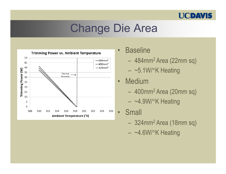# **Change Die Area**



- **Baseline**  $\bullet$ 
	- $-484$ mm<sup>2</sup> Area (22mm sq)
	- $-$  ~5.1W/ $\degree$ K Heating
- **Medium**  $\bullet$ 
	- 400mm<sup>2</sup> Area (20mm sq)
	- ~4.9W/°K Heating
- **Small**  $\bullet$ 
	- $-324$ mm<sup>2</sup> Area (18mm sq)
	- $-$  ~4.6W/ $\degree$ K Heating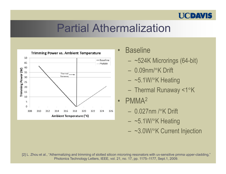# **Partial Athermalization**



- **Baseline** 
	- $-$  ~524K Microrings (64-bit)
	- $-$  0.09nm/ $\mathrm{K}$  Drift
	- $-$  ~5.1W/ $\degree$ K Heating
	- Thermal Runaway <1°K
- PMMA<sup>2</sup>  $\bullet$ 
	- $-$  0.027nm / $\rm K$  Drift
	- $-$  ~5.1W/ $\degree$ K Heating
	- ~3.0W/°K Current Injection

[2] L. Zhou et al., "Athermalizing and trimming of slotted silicon microring resonators with uv-sensitive pmma upper-cladding," Photonics Technology Letters, IEEE, vol. 21, no. 17, pp. 1175-1177, Sept.1, 2009.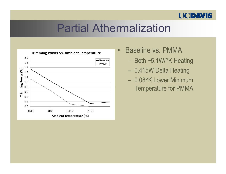### **Partial Athermalization**



- **Baseline vs. PMMA**  $\bullet$ 
	- Both ~5.1W/°K Heating
	- 0.415W Delta Heating
	- 0.08°K Lower Minimum **Temperature for PMMA**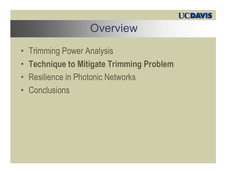

### Overview

- Trimming Power Analysis
- Technique to Mitigate Trimming Problem
- Resilience in Photonic Networks
- Conclusions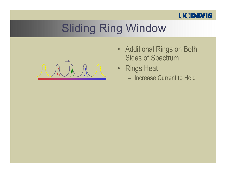

- Additional Rings on Both **Sides of Spectrum**
- Rings Heat
	- Increase Current to Hold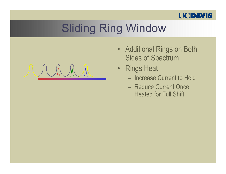

 $\bigwedge$ 

- Additional Rings on Both **Sides of Spectrum**
- Rings Heat
	- Increase Current to Hold
	- Reduce Current Once **Heated for Full Shift**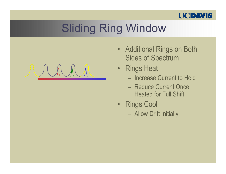

 $M$   $N$ 

- Additional Rings on Both **Sides of Spectrum**
- Rings Heat
	- Increase Current to Hold
	- Reduce Current Once **Heated for Full Shift**
- Rings Cool
	- Allow Drift Initially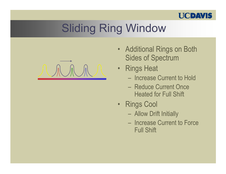

- Additional Rings on Both **Sides of Spectrum**
- Rings Heat
	- Increase Current to Hold
	- Reduce Current Once **Heated for Full Shift**
- Rings Cool
	- Allow Drift Initially
	- Increase Current to Force **Full Shift**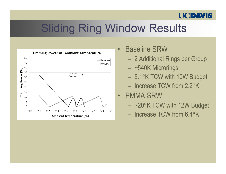# Sliding Ring Window Results



- $\bullet$ Baseline SRW
	- 2 Additional Rings per Group
	- ~540K Microrings
	- 5.1°K TCW with 10W Budget
	- Increase TCW from 2.2°K

#### $\bullet$ PMMA SRW

- ~20°K TCW with 12W Budget
- Increase TCW from 6.4°K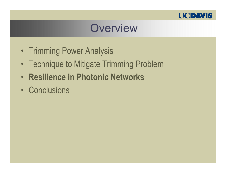

### Overview

- Trimming Power Analysis
- Technique to Mitigate Trimming Problem
- Resilience in Photonic Networks
- Conclusions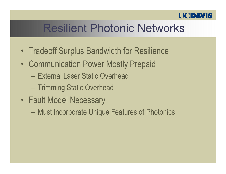# **Resilient Photonic Networks**

- Tradeoff Surplus Bandwidth for Resilience
- Communication Power Mostly Prepaid
	- External Laser Static Overhead
	- Trimming Static Overhead
- Fault Model Necessary
	- Must Incorporate Unique Features of Photonics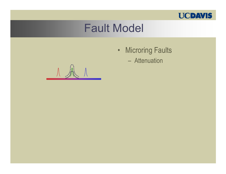

- Microring Faults
	- Attenuation

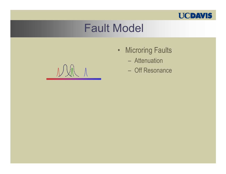

#### **Fault Model**

 $\mathcal{N} \setminus \mathcal{N}$ 

- Microring Faults
	- Attenuation
	- Off Resonance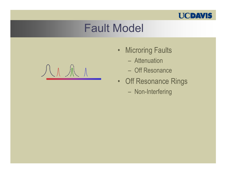



- Microring Faults
	- Attenuation
	- Off Resonance
- Off Resonance Rings
	- Non-Interfering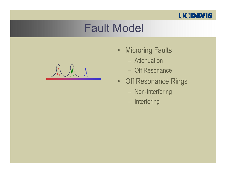

- Microring Faults
	- Attenuation
	- Off Resonance
- Off Resonance Rings
	- Non-Interfering
	- Interfering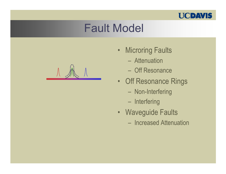

- Microring Faults
	- Attenuation
	- Off Resonance
- Off Resonance Rings
	- Non-Interfering
	- Interfering
- Waveguide Faults
	- Increased Attenuation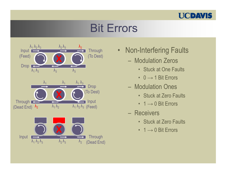### **Bit Errors**



- Non-Interfering Faults
	- Modulation Zeros
		- Stuck at One Faults
		- $0 \rightarrow 1$  Bit Errors
	- Modulation Ones
		- Stuck at Zero Faults
		- $\cdot$  1  $\rightarrow$  0 Bit Errors
	- Receivers
		- Stuck at Zero Faults
		- $\cdot$  1  $\rightarrow$  0 Bit Errors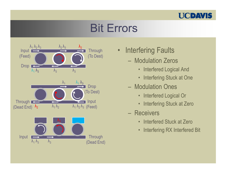### Bit Errors



- Interfering Faults
	- Modulation Zeros
		- Interfered Logical And
		- Interfering Stuck at One
	- Modulation Ones
		- lodulation Ones<br>• Interfered Logical Or
		- Interfering Stuck at Zero
	- Receivers
		- Interfered Stuck at Zero
		- Interfering RX Interfered Bit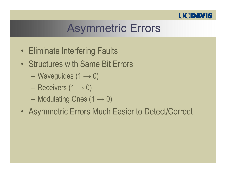

# **Asymmetric Errors**

- Eliminate Interfering Faults
- Structures with Same Bit Errors
	- Waveguides  $(1 \rightarrow 0)$
	- Receivers  $(1 \rightarrow 0)$
	- Modulating Ones  $(1 \rightarrow 0)$
- Asymmetric Errors Much Easier to Detect/Correct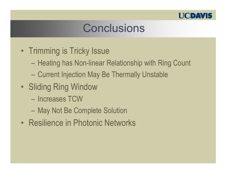

# Conclusions

- Trimming is Tricky Issue
	- Heating has Non-linear Relationship with Ring Count
	- Current Injection May Be Thermally Unstable
- Sliding Ring Window
	- Increases TCW
	- May Not Be Complete Solution
- Resilience in Photonic Networks